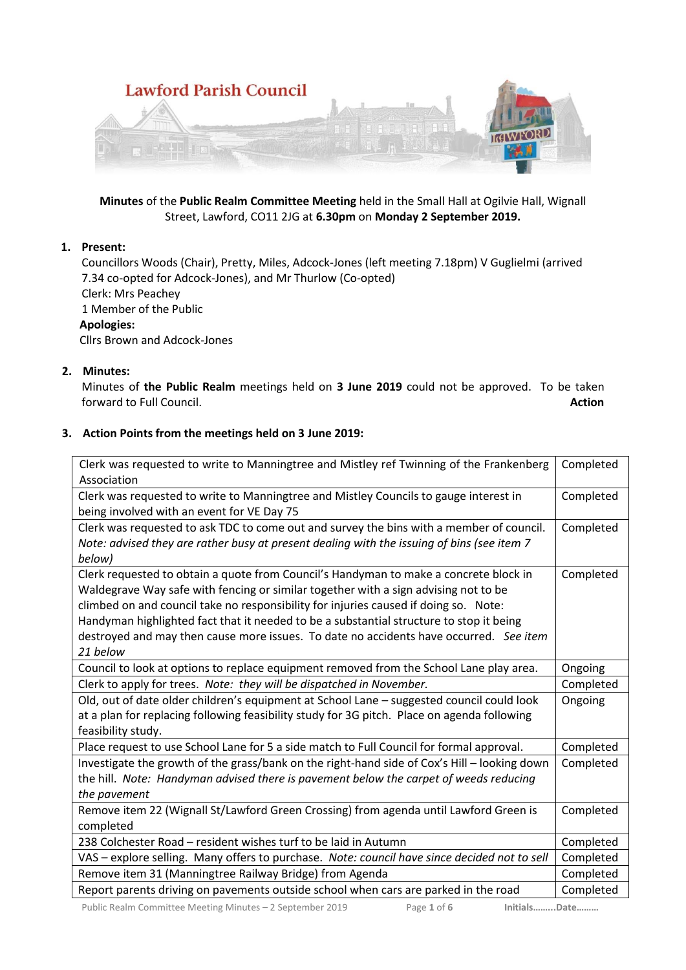

**Minutes** of the **Public Realm Committee Meeting** held in the Small Hall at Ogilvie Hall, Wignall Street, Lawford, CO11 2JG at **6.30pm** on **Monday 2 September 2019.**

# **1. Present:**

Councillors Woods (Chair), Pretty, Miles, Adcock-Jones (left meeting 7.18pm) V Guglielmi (arrived 7.34 co-opted for Adcock-Jones), and Mr Thurlow (Co-opted) Clerk: Mrs Peachey 1 Member of the Public **Apologies:**

Cllrs Brown and Adcock-Jones

## **2. Minutes:**

Minutes of **the Public Realm** meetings held on **3 June 2019** could not be approved. To be taken forward to Full Council. **Action** 

## **3. Action Points from the meetings held on 3 June 2019:**

| Clerk was requested to write to Manningtree and Mistley ref Twinning of the Frankenberg<br>Association                                                                                                                                                                                                                                                                                                                                                                | Completed |
|-----------------------------------------------------------------------------------------------------------------------------------------------------------------------------------------------------------------------------------------------------------------------------------------------------------------------------------------------------------------------------------------------------------------------------------------------------------------------|-----------|
| Clerk was requested to write to Manningtree and Mistley Councils to gauge interest in<br>being involved with an event for VE Day 75                                                                                                                                                                                                                                                                                                                                   | Completed |
| Clerk was requested to ask TDC to come out and survey the bins with a member of council.<br>Note: advised they are rather busy at present dealing with the issuing of bins (see item 7<br>below)                                                                                                                                                                                                                                                                      | Completed |
| Clerk requested to obtain a quote from Council's Handyman to make a concrete block in<br>Waldegrave Way safe with fencing or similar together with a sign advising not to be<br>climbed on and council take no responsibility for injuries caused if doing so. Note:<br>Handyman highlighted fact that it needed to be a substantial structure to stop it being<br>destroyed and may then cause more issues. To date no accidents have occurred. See item<br>21 below | Completed |
| Council to look at options to replace equipment removed from the School Lane play area.                                                                                                                                                                                                                                                                                                                                                                               | Ongoing   |
| Clerk to apply for trees. Note: they will be dispatched in November.                                                                                                                                                                                                                                                                                                                                                                                                  | Completed |
| Old, out of date older children's equipment at School Lane - suggested council could look<br>at a plan for replacing following feasibility study for 3G pitch. Place on agenda following<br>feasibility study.                                                                                                                                                                                                                                                        | Ongoing   |
| Place request to use School Lane for 5 a side match to Full Council for formal approval.                                                                                                                                                                                                                                                                                                                                                                              | Completed |
| Investigate the growth of the grass/bank on the right-hand side of Cox's Hill - looking down<br>the hill. Note: Handyman advised there is pavement below the carpet of weeds reducing<br>the pavement                                                                                                                                                                                                                                                                 | Completed |
| Remove item 22 (Wignall St/Lawford Green Crossing) from agenda until Lawford Green is<br>completed                                                                                                                                                                                                                                                                                                                                                                    | Completed |
| 238 Colchester Road - resident wishes turf to be laid in Autumn                                                                                                                                                                                                                                                                                                                                                                                                       | Completed |
| VAS - explore selling. Many offers to purchase. Note: council have since decided not to sell                                                                                                                                                                                                                                                                                                                                                                          | Completed |
| Remove item 31 (Manningtree Railway Bridge) from Agenda                                                                                                                                                                                                                                                                                                                                                                                                               | Completed |
| Report parents driving on pavements outside school when cars are parked in the road                                                                                                                                                                                                                                                                                                                                                                                   | Completed |

Public Realm Committee Meeting Minutes – 2 September 2019 Page **1** of **6 Initials……...Date………**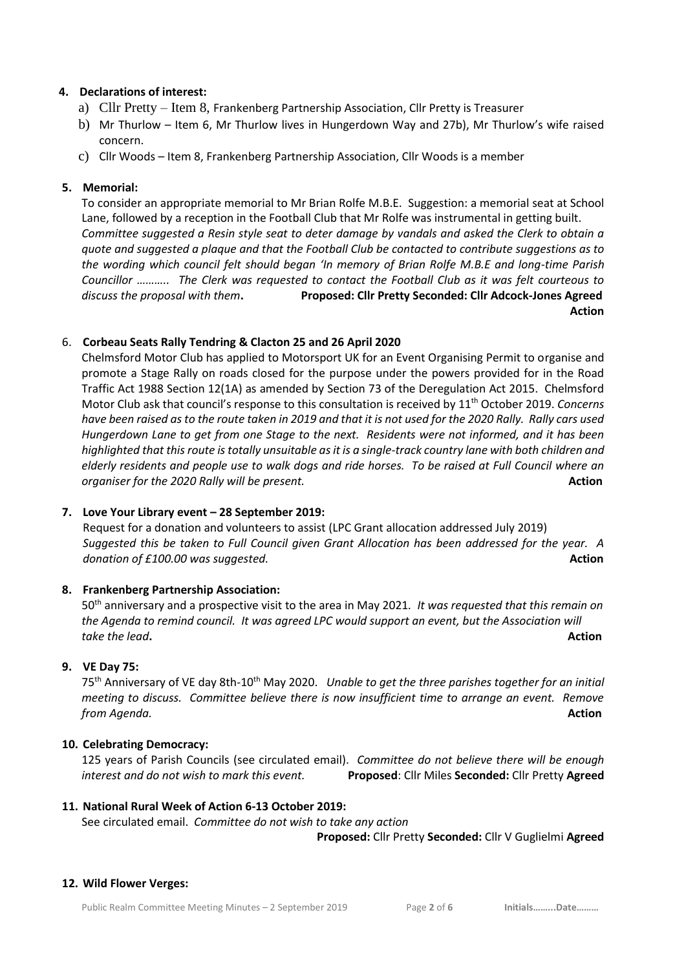## **4. Declarations of interest:**

- a) Cllr Pretty Item 8, Frankenberg Partnership Association, Cllr Pretty is Treasurer
- b) Mr Thurlow Item 6, Mr Thurlow lives in Hungerdown Way and 27b), Mr Thurlow's wife raised concern.
- c) Cllr Woods Item 8, Frankenberg Partnership Association, Cllr Woods is a member

## **5. Memorial:**

To consider an appropriate memorial to Mr Brian Rolfe M.B.E. Suggestion: a memorial seat at School Lane, followed by a reception in the Football Club that Mr Rolfe was instrumental in getting built. *Committee suggested a Resin style seat to deter damage by vandals and asked the Clerk to obtain a quote and suggested a plaque and that the Football Club be contacted to contribute suggestions as to the wording which council felt should began 'In memory of Brian Rolfe M.B.E and long-time Parish Councillor ……….. The Clerk was requested to contact the Football Club as it was felt courteous to discuss the proposal with them***. Proposed: Cllr Pretty Seconded: Cllr Adcock-Jones Agreed Action**

## 6. **Corbeau Seats Rally Tendring & Clacton 25 and 26 April 2020**

Chelmsford Motor Club has applied to Motorsport UK for an Event Organising Permit to organise and promote a Stage Rally on roads closed for the purpose under the powers provided for in the Road Traffic Act 1988 Section 12(1A) as amended by Section 73 of the Deregulation Act 2015. Chelmsford Motor Club ask that council's response to this consultation is received by 11th October 2019. *Concerns have been raised as to the route taken in 2019 and that it is not used for the 2020 Rally. Rally cars used Hungerdown Lane to get from one Stage to the next. Residents were not informed, and it has been highlighted that this route is totally unsuitable as it is a single-track country lane with both children and elderly residents and people use to walk dogs and ride horses. To be raised at Full Council where an organiser for the 2020 Rally will be present.* **<b>Action Action Action Action** 

## **7. Love Your Library event – 28 September 2019:**

Request for a donation and volunteers to assist (LPC Grant allocation addressed July 2019) *Suggested this be taken to Full Council given Grant Allocation has been addressed for the year. A donation of £100.00 was suggested.* **Action** *Action* **Action Action** *Action* 

## **8. Frankenberg Partnership Association:**

50th anniversary and a prospective visit to the area in May 2021*. It was requested that this remain on the Agenda to remind council. It was agreed LPC would support an event, but the Association will take the lead***. Action** 

## **9. VE Day 75:**

75th Anniversary of VE day 8th-10th May 2020. *Unable to get the three parishes together for an initial meeting to discuss. Committee believe there is now insufficient time to arrange an event. Remove from Agenda.* **Action** 

## **10. Celebrating Democracy:**

125 years of Parish Councils (see circulated email). *Committee do not believe there will be enough interest and do not wish to mark this event.* **Proposed**: Cllr Miles **Seconded:** Cllr Pretty **Agreed**

## **11. National Rural Week of Action 6-13 October 2019:**

See circulated email. *Committee do not wish to take any action* **Proposed:** Cllr Pretty **Seconded:** Cllr V Guglielmi **Agreed**

#### **12. Wild Flower Verges:**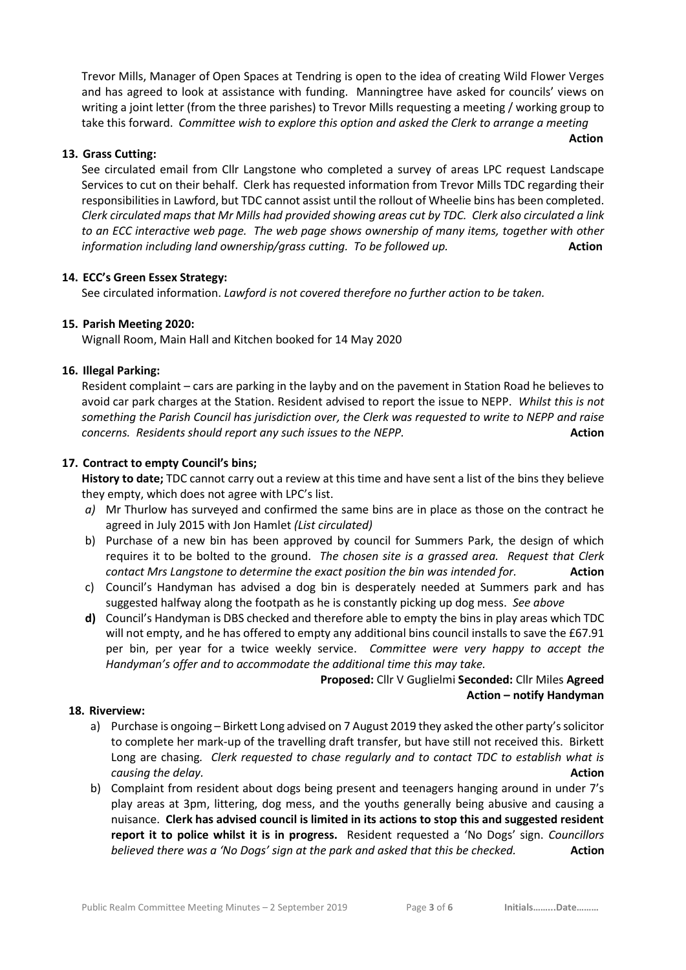Trevor Mills, Manager of Open Spaces at Tendring is open to the idea of creating Wild Flower Verges and has agreed to look at assistance with funding. Manningtree have asked for councils' views on writing a joint letter (from the three parishes) to Trevor Mills requesting a meeting / working group to take this forward. *Committee wish to explore this option and asked the Clerk to arrange a meeting* 

**Action**

# **13. Grass Cutting:**

See circulated email from Cllr Langstone who completed a survey of areas LPC request Landscape Services to cut on their behalf. Clerk has requested information from Trevor Mills TDC regarding their responsibilities in Lawford, but TDC cannot assist until the rollout of Wheelie bins has been completed. *Clerk circulated maps that Mr Mills had provided showing areas cut by TDC. Clerk also circulated a link to an ECC interactive web page. The web page shows ownership of many items, together with other information including land ownership/grass cutting. To be followed up.* **Action** 

## **14. ECC's Green Essex Strategy:**

See circulated information. *Lawford is not covered therefore no further action to be taken.*

# **15. Parish Meeting 2020:**

Wignall Room, Main Hall and Kitchen booked for 14 May 2020

## **16. Illegal Parking:**

Resident complaint – cars are parking in the layby and on the pavement in Station Road he believes to avoid car park charges at the Station. Resident advised to report the issue to NEPP. *Whilst this is not something the Parish Council has jurisdiction over, the Clerk was requested to write to NEPP and raise concerns. Residents should report any such issues to the NEPP.* **<b>Action Action** 

# **17. Contract to empty Council's bins;**

**History to date;** TDC cannot carry out a review at this time and have sent a list of the bins they believe they empty, which does not agree with LPC's list.

- *a)* Mr Thurlow has surveyed and confirmed the same bins are in place as those on the contract he agreed in July 2015 with Jon Hamlet *(List circulated)*
- b) Purchase of a new bin has been approved by council for Summers Park, the design of which requires it to be bolted to the ground. *The chosen site is a grassed area. Request that Clerk contact Mrs Langstone to determine the exact position the bin was intended for.* **Action**
- c) Council's Handyman has advised a dog bin is desperately needed at Summers park and has suggested halfway along the footpath as he is constantly picking up dog mess. *See above*
- **d)** Council's Handyman is DBS checked and therefore able to empty the bins in play areas which TDC will not empty, and he has offered to empty any additional bins council installs to save the £67.91 per bin, per year for a twice weekly service. *Committee were very happy to accept the Handyman's offer and to accommodate the additional time this may take.*

**Proposed:** Cllr V Guglielmi **Seconded:** Cllr Miles **Agreed Action – notify Handyman**

## **18. Riverview:**

- a) Purchase is ongoing Birkett Long advised on 7 August 2019 they asked the other party's solicitor to complete her mark-up of the travelling draft transfer, but have still not received this. Birkett Long are chasing*. Clerk requested to chase regularly and to contact TDC to establish what is causing the delay.* **Action**
- b) Complaint from resident about dogs being present and teenagers hanging around in under 7's play areas at 3pm, littering, dog mess, and the youths generally being abusive and causing a nuisance. **Clerk has advised council is limited in its actions to stop this and suggested resident report it to police whilst it is in progress.** Resident requested a 'No Dogs' sign. *Councillors believed there was a 'No Dogs' sign at the park and asked that this be checked.* **Action**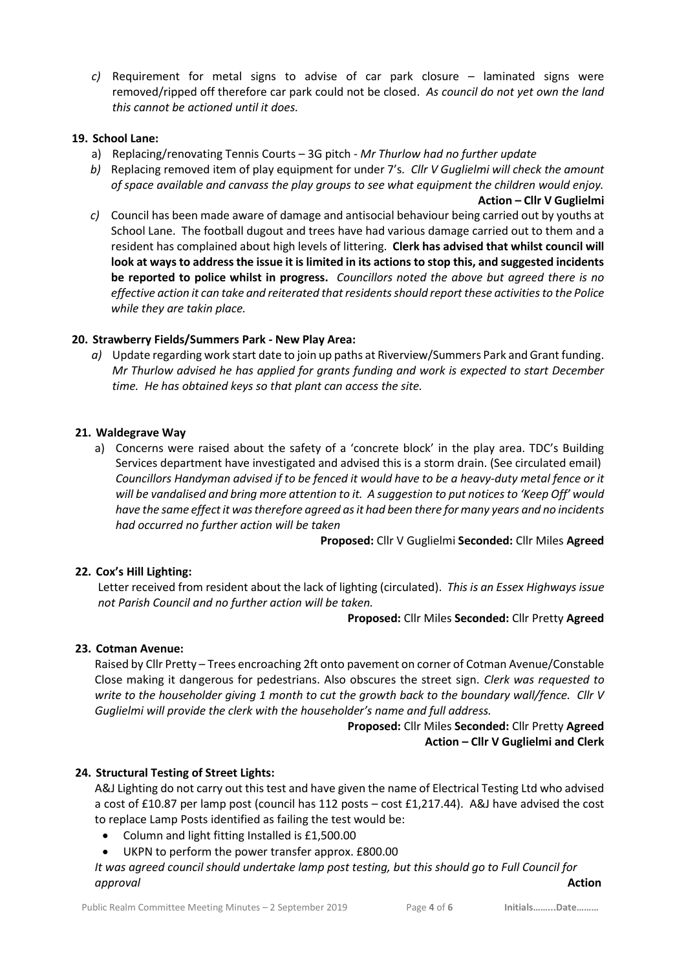*c)* Requirement for metal signs to advise of car park closure – laminated signs were removed/ripped off therefore car park could not be closed. *As council do not yet own the land this cannot be actioned until it does.*

## **19. School Lane:**

- a) Replacing/renovating Tennis Courts 3G pitch *Mr Thurlow had no further update*
- *b)* Replacing removed item of play equipment for under 7's*. Cllr V Guglielmi will check the amount of space available and canvass the play groups to see what equipment the children would enjoy.* **Action – Cllr V Guglielmi**
- *c)* Council has been made aware of damage and antisocial behaviour being carried out by youths at School Lane. The football dugout and trees have had various damage carried out to them and a resident has complained about high levels of littering. **Clerk has advised that whilst council will look at ways to address the issue it is limited in its actions to stop this, and suggested incidents be reported to police whilst in progress.** *Councillors noted the above but agreed there is no effective action it can take and reiterated that residents should report these activities to the Police while they are takin place.*

# **20. Strawberry Fields/Summers Park - New Play Area:**

*a)* Update regarding work start date to join up paths at Riverview/Summers Park and Grant funding. *Mr Thurlow advised he has applied for grants funding and work is expected to start December time. He has obtained keys so that plant can access the site.*

## **21. Waldegrave Way**

a) Concerns were raised about the safety of a 'concrete block' in the play area. TDC's Building Services department have investigated and advised this is a storm drain. (See circulated email) *Councillors Handyman advised if to be fenced it would have to be a heavy-duty metal fence or it will be vandalised and bring more attention to it. A suggestion to put notices to 'Keep Off' would have the same effect it was therefore agreed as it had been there for many years and no incidents had occurred no further action will be taken*

**Proposed:** Cllr V Guglielmi **Seconded:** Cllr Miles **Agreed**

# **22. Cox's Hill Lighting:**

Letter received from resident about the lack of lighting (circulated). *This is an Essex Highways issue not Parish Council and no further action will be taken.*

**Proposed:** Cllr Miles **Seconded:** Cllr Pretty **Agreed**

# **23. Cotman Avenue:**

Raised by Cllr Pretty – Trees encroaching 2ft onto pavement on corner of Cotman Avenue/Constable Close making it dangerous for pedestrians. Also obscures the street sign. *Clerk was requested to write to the householder giving 1 month to cut the growth back to the boundary wall/fence. Cllr V Guglielmi will provide the clerk with the householder's name and full address.* 

> **Proposed:** Cllr Miles **Seconded:** Cllr Pretty **Agreed Action – Cllr V Guglielmi and Clerk**

## **24. Structural Testing of Street Lights:**

A&J Lighting do not carry out this test and have given the name of Electrical Testing Ltd who advised a cost of £10.87 per lamp post (council has 112 posts – cost £1,217.44). A&J have advised the cost to replace Lamp Posts identified as failing the test would be:

- Column and light fitting Installed is £1,500.00
- UKPN to perform the power transfer approx. £800.00

*It was agreed council should undertake lamp post testing, but this should go to Full Council for approval* **Action**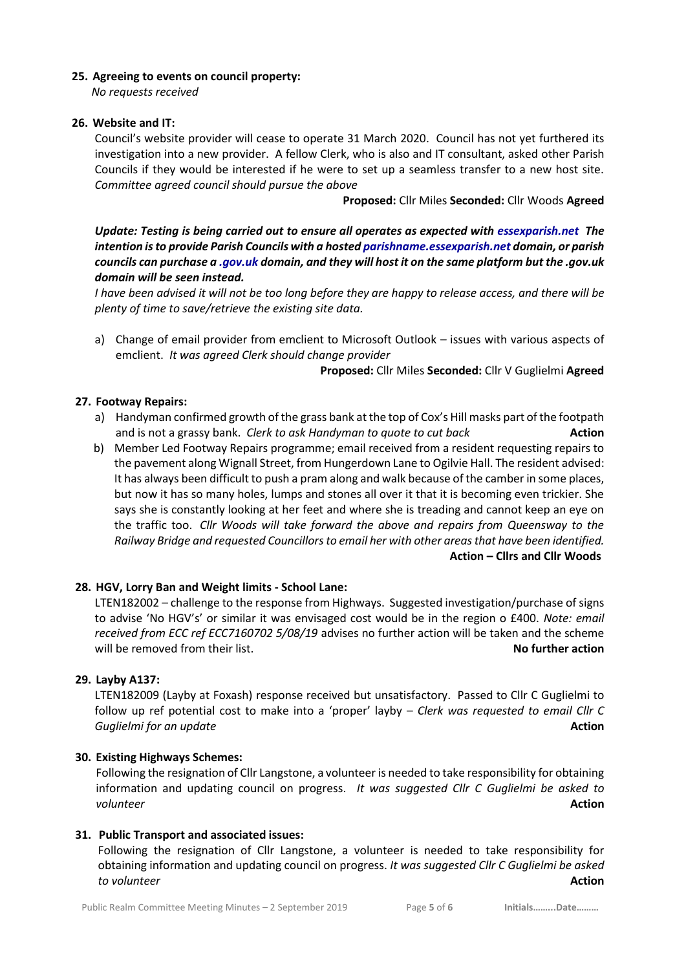## **25. Agreeing to events on council property:**

*No requests received*

## **26. Website and IT:**

Council's website provider will cease to operate 31 March 2020. Council has not yet furthered its investigation into a new provider. A fellow Clerk, who is also and IT consultant, asked other Parish Councils if they would be interested if he were to set up a seamless transfer to a new host site. *Committee agreed council should pursue the above* 

**Proposed:** Cllr Miles **Seconded:** Cllr Woods **Agreed**

*Update: Testing is being carried out to ensure all operates as expected with essexparish.net The intention is to provide Parish Councils with a hosted parishname.essexparish.net domain, or parish councils can purchase a .gov.uk domain, and they will host it on the same platform but the .gov.uk domain will be seen instead.* 

*I have been advised it will not be too long before they are happy to release access, and there will be plenty of time to save/retrieve the existing site data.*

a) Change of email provider from emclient to Microsoft Outlook – issues with various aspects of emclient. *It was agreed Clerk should change provider*

**Proposed:** Cllr Miles **Seconded:** Cllr V Guglielmi **Agreed**

## **27. Footway Repairs:**

- a) Handyman confirmed growth of the grass bank at the top of Cox's Hill masks part of the footpath and is not a grassy bank. *Clerk to ask Handyman to quote to cut back* **Action**
- b) Member Led Footway Repairs programme; email received from a resident requesting repairs to the pavement along Wignall Street, from Hungerdown Lane to Ogilvie Hall. The resident advised: It has always been difficult to push a pram along and walk because of the camber in some places, but now it has so many holes, lumps and stones all over it that it is becoming even trickier. She says she is constantly looking at her feet and where she is treading and cannot keep an eye on the traffic too. *Cllr Woods will take forward the above and repairs from Queensway to the Railway Bridge and requested Councillors to email her with other areas that have been identified.* **Action – Cllrs and Cllr Woods**

## **28. HGV, Lorry Ban and Weight limits - School Lane:**

LTEN182002 – challenge to the response from Highways. Suggested investigation/purchase of signs to advise 'No HGV's' or similar it was envisaged cost would be in the region o £400. *Note: email received from ECC ref ECC7160702 5/08/19* advises no further action will be taken and the scheme will be removed from their list. **No further action No further action** 

## **29. Layby A137:**

LTEN182009 (Layby at Foxash) response received but unsatisfactory. Passed to Cllr C Guglielmi to follow up ref potential cost to make into a 'proper' layby – *Clerk was requested to email Cllr C*  **Guglielmi for an update** *Action* 

## **30. Existing Highways Schemes:**

Following the resignation of Cllr Langstone, a volunteer is needed to take responsibility for obtaining information and updating council on progress. *It was suggested Cllr C Guglielmi be asked to volunteer* **Action**

## **31. Public Transport and associated issues:**

Following the resignation of Cllr Langstone, a volunteer is needed to take responsibility for obtaining information and updating council on progress. *It was suggested Cllr C Guglielmi be asked to volunteer* **Action**